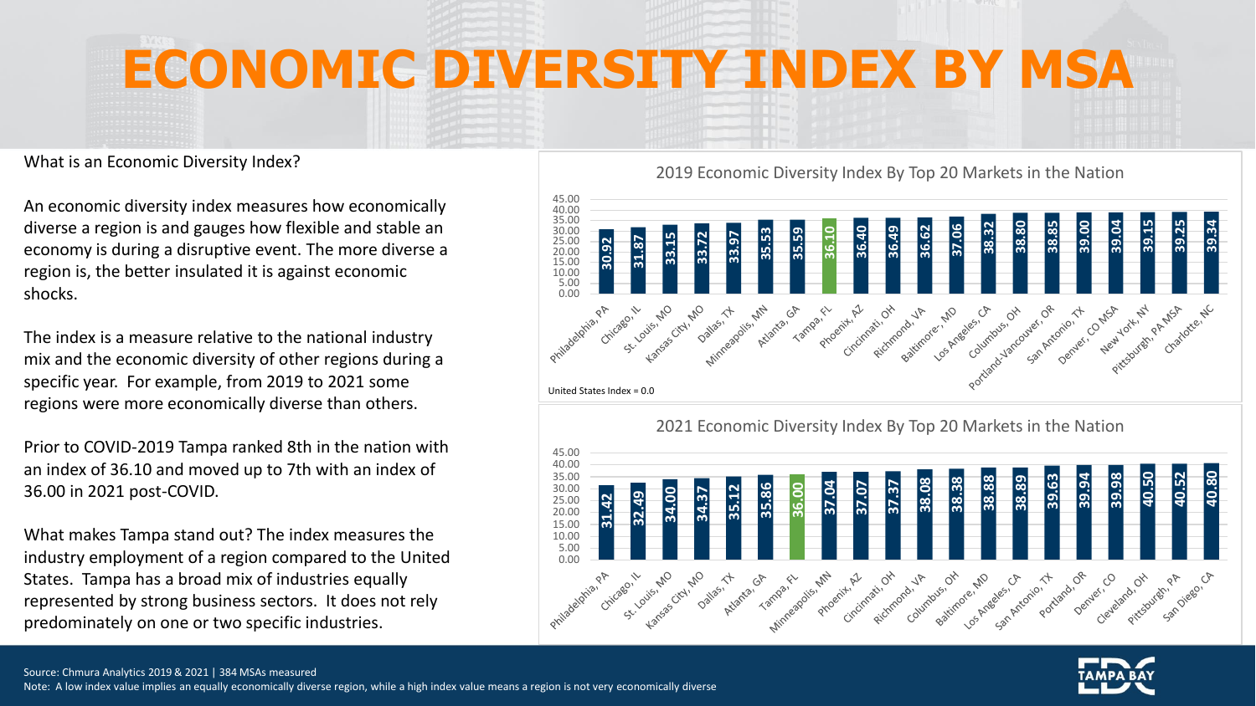## **ECONOMIC DIVERSITY INDEX BY MSA**

What is an Economic Diversity Index?

An economic diversity index measures how economically diverse a region is and gauges how flexible and stable an economy is during a disruptive event. The more diverse a region is, the better insulated it is against economic shocks.

The index is a measure relative to the national industry mix and the economic diversity of other regions during a specific year. For example, from 2019 to 2021 some regions were more economically diverse than others.

Prior to COVID-2019 Tampa ranked 8th in the nation with an index of 36.10 and moved up to 7th with an index of 36.00 in 2021 post-COVID.

What makes Tampa stand out? The index measures the industry employment of a region compared to the United States. Tampa has a broad mix of industries equally represented by strong business sectors. It does not rely predominately on one or two specific industries.

2019 Economic Diversity Index By Top 20 Markets in the Nation